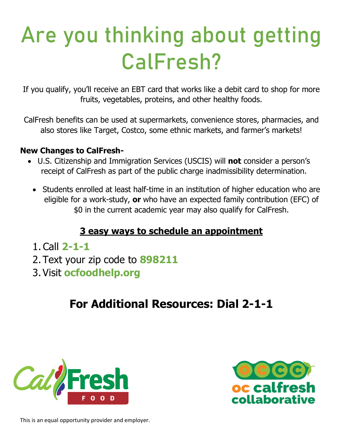# Are you thinking about getting CalFresh?

If you qualify, you'll receive an EBT card that works like a debit card to shop for more fruits, vegetables, proteins, and other healthy foods.

CalFresh benefits can be used at supermarkets, convenience stores, pharmacies, and also stores like Target, Costco, some ethnic markets, and farmer's markets!

#### **New Changes to CalFresh-**

- U.S. Citizenship and Immigration Services (USCIS) will **not** consider a person's receipt of CalFresh as part of the public charge inadmissibility determination.
	- Students enrolled at least half-time in an institution of higher education who are eligible for a work-study, **or** who have an expected family contribution (EFC) of \$0 in the current academic year may also qualify for CalFresh.

#### **3 easy ways to schedule an appointment**

- 1.Call **2-1-1**
- 2. Text your zip code to **898211**
- 3. Visit **ocfoodhelp.org**

## **For Additional Resources: Dial 2-1-1**





This is an equal opportunity provider and employer.